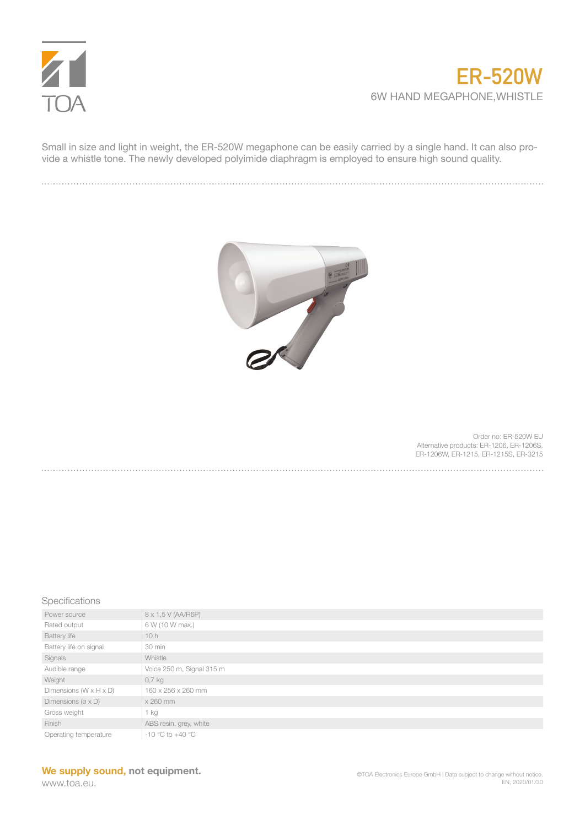

## **ER-520W** 6W HAND MEGAPHONE,WHISTLE

Small in size and light in weight, the ER-520W megaphone can be easily carried by a single hand. It can also provide a whistle tone. The newly developed polyimide diaphragm is employed to ensure high sound quality.



Order no: ER-520W EU Alternative products: ER-1206, ER-1206S, ER-1206W, ER-1215, ER-1215S, ER-3215

## Specifications

| Power source                          | 8 x 1,5 V (AA/R6P)        |
|---------------------------------------|---------------------------|
| Rated output                          | 6 W (10 W max.)           |
| <b>Battery life</b>                   | 10h                       |
| Battery life on signal                | 30 min                    |
| Signals                               | Whistle                   |
| Audible range                         | Voice 250 m, Signal 315 m |
| Weight                                | $0,7$ kg                  |
| Dimensions ( $W \times H \times D$ )  | 160 x 256 x 260 mm        |
| Dimensions ( $\varnothing \times D$ ) | x 260 mm                  |
| Gross weight                          | 1 kg                      |
| Finish                                | ABS resin, grey, white    |
| Operating temperature                 | $-10$ °C to $+40$ °C      |

## **We supply sound, not equipment.**

www.toa.eu.